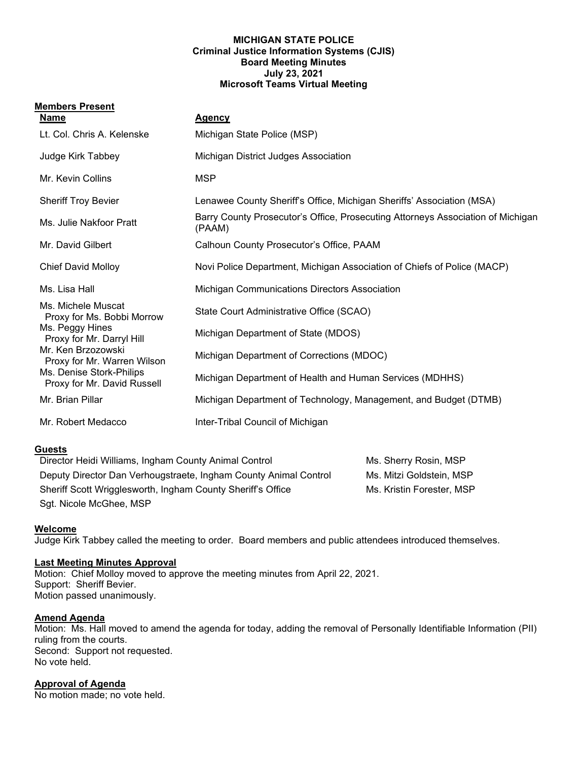#### **MICHIGAN STATE POLICE Criminal Justice Information Systems (CJIS) Board Meeting Minutes July 23, 2021 Microsoft Teams Virtual Meeting**

### **Members Present**

| <b>Name</b>                                                                                                                                                  | <b>Agency</b>                                                                             |
|--------------------------------------------------------------------------------------------------------------------------------------------------------------|-------------------------------------------------------------------------------------------|
| Lt. Col. Chris A. Kelenske                                                                                                                                   | Michigan State Police (MSP)                                                               |
| Judge Kirk Tabbey                                                                                                                                            | Michigan District Judges Association                                                      |
| Mr. Kevin Collins                                                                                                                                            | <b>MSP</b>                                                                                |
| <b>Sheriff Troy Bevier</b>                                                                                                                                   | Lenawee County Sheriff's Office, Michigan Sheriffs' Association (MSA)                     |
| Ms. Julie Nakfoor Pratt                                                                                                                                      | Barry County Prosecutor's Office, Prosecuting Attorneys Association of Michigan<br>(PAAM) |
| Mr. David Gilbert                                                                                                                                            | Calhoun County Prosecutor's Office, PAAM                                                  |
| <b>Chief David Molloy</b>                                                                                                                                    | Novi Police Department, Michigan Association of Chiefs of Police (MACP)                   |
| Ms. Lisa Hall                                                                                                                                                | Michigan Communications Directors Association                                             |
| Ms. Michele Muscat<br>Proxy for Ms. Bobbi Morrow                                                                                                             | State Court Administrative Office (SCAO)                                                  |
| Ms. Peggy Hines<br>Proxy for Mr. Darryl Hill<br>Mr. Ken Brzozowski<br>Proxy for Mr. Warren Wilson<br>Ms. Denise Stork-Philips<br>Proxy for Mr. David Russell | Michigan Department of State (MDOS)                                                       |
|                                                                                                                                                              | Michigan Department of Corrections (MDOC)                                                 |
|                                                                                                                                                              | Michigan Department of Health and Human Services (MDHHS)                                  |
| Mr. Brian Pillar                                                                                                                                             | Michigan Department of Technology, Management, and Budget (DTMB)                          |
| Mr. Robert Medacco                                                                                                                                           | Inter-Tribal Council of Michigan                                                          |

# **Guests**

| Director Heidi Williams, Ingham County Animal Control            | Ms. Sherry Rosin, MSP     |
|------------------------------------------------------------------|---------------------------|
| Deputy Director Dan Verhougstraete, Ingham County Animal Control | Ms. Mitzi Goldstein, MSP  |
| Sheriff Scott Wrigglesworth, Ingham County Sheriff's Office      | Ms. Kristin Forester, MSP |
| Sgt. Nicole McGhee, MSP                                          |                           |

#### **Welcome**

Judge Kirk Tabbey called the meeting to order. Board members and public attendees introduced themselves.

#### **Last Meeting Minutes Approval**

Motion: Chief Molloy moved to approve the meeting minutes from April 22, 2021. Support: Sheriff Bevier. Motion passed unanimously.

### **Amend Agenda**

Motion: Ms. Hall moved to amend the agenda for today, adding the removal of Personally Identifiable Information (PII) ruling from the courts. Second: Support not requested. No vote held.

#### **Approval of Agenda**

No motion made; no vote held.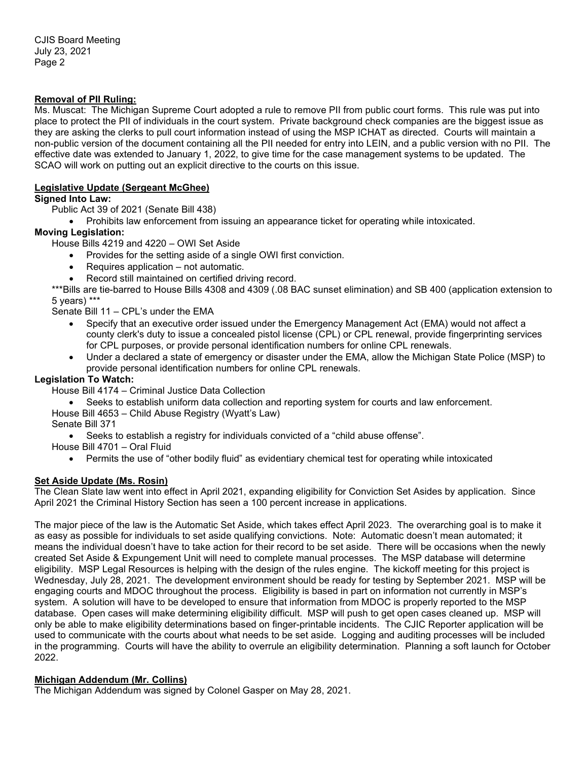## **Removal of PII Ruling:**

Ms. Muscat: The Michigan Supreme Court adopted a rule to remove PII from public court forms. This rule was put into place to protect the PII of individuals in the court system. Private background check companies are the biggest issue as they are asking the clerks to pull court information instead of using the MSP ICHAT as directed. Courts will maintain a non-public version of the document containing all the PII needed for entry into LEIN, and a public version with no PII. The effective date was extended to January 1, 2022, to give time for the case management systems to be updated. The SCAO will work on putting out an explicit directive to the courts on this issue.

### **Legislative Update (Sergeant McGhee)**

**Signed Into Law:**

Public Act 39 of 2021 (Senate Bill 438)

• Prohibits law enforcement from issuing an appearance ticket for operating while intoxicated.

#### **Moving Legislation:**

House Bills 4219 and 4220 – OWI Set Aside

- Provides for the setting aside of a single OWI first conviction.
- Requires application not automatic.
- Record still maintained on certified driving record.

\*\*\*Bills are tie-barred to House Bills 4308 and 4309 (.08 BAC sunset elimination) and SB 400 (application extension to 5 years) \*\*\*

- Senate Bill 11 CPL's under the EMA
	- Specify that an executive order issued under the Emergency Management Act (EMA) would not affect a county clerk's duty to issue a concealed pistol license (CPL) or CPL renewal, provide fingerprinting services for CPL purposes, or provide personal identification numbers for online CPL renewals.
	- Under a declared a state of emergency or disaster under the EMA, allow the Michigan State Police (MSP) to provide personal identification numbers for online CPL renewals.

# **Legislation To Watch:**

House Bill 4174 – Criminal Justice Data Collection

• Seeks to establish uniform data collection and reporting system for courts and law enforcement.

House Bill 4653 – Child Abuse Registry (Wyatt's Law)

Senate Bill 371

• Seeks to establish a registry for individuals convicted of a "child abuse offense".

House Bill 4701 – Oral Fluid

• Permits the use of "other bodily fluid" as evidentiary chemical test for operating while intoxicated

# **Set Aside Update (Ms. Rosin)**

The Clean Slate law went into effect in April 2021, expanding eligibility for Conviction Set Asides by application. Since April 2021 the Criminal History Section has seen a 100 percent increase in applications.

The major piece of the law is the Automatic Set Aside, which takes effect April 2023. The overarching goal is to make it as easy as possible for individuals to set aside qualifying convictions. Note: Automatic doesn't mean automated; it means the individual doesn't have to take action for their record to be set aside. There will be occasions when the newly created Set Aside & Expungement Unit will need to complete manual processes. The MSP database will determine eligibility. MSP Legal Resources is helping with the design of the rules engine. The kickoff meeting for this project is Wednesday, July 28, 2021. The development environment should be ready for testing by September 2021. MSP will be engaging courts and MDOC throughout the process. Eligibility is based in part on information not currently in MSP's system. A solution will have to be developed to ensure that information from MDOC is properly reported to the MSP database. Open cases will make determining eligibility difficult. MSP will push to get open cases cleaned up. MSP will only be able to make eligibility determinations based on finger-printable incidents. The CJIC Reporter application will be used to communicate with the courts about what needs to be set aside. Logging and auditing processes will be included in the programming. Courts will have the ability to overrule an eligibility determination. Planning a soft launch for October 2022.

# **Michigan Addendum (Mr. Collins)**

The Michigan Addendum was signed by Colonel Gasper on May 28, 2021.